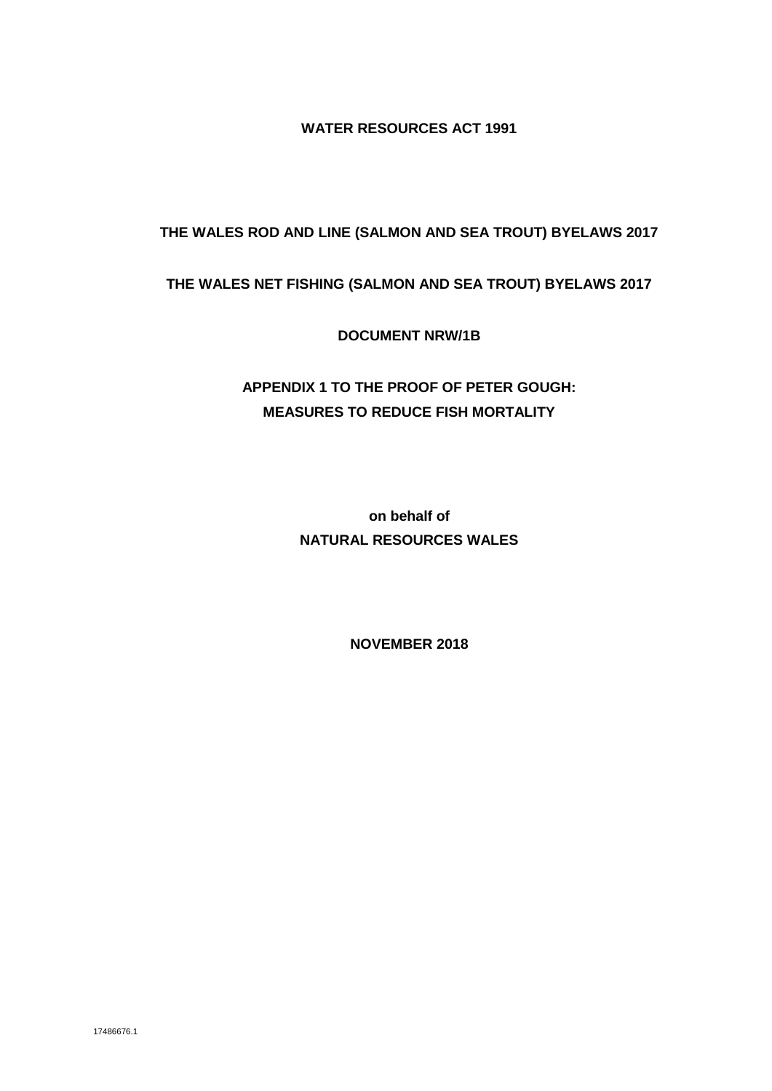**WATER RESOURCES ACT 1991**

# **THE WALES ROD AND LINE (SALMON AND SEA TROUT) BYELAWS 2017**

## **THE WALES NET FISHING (SALMON AND SEA TROUT) BYELAWS 2017**

**DOCUMENT NRW/1B**

# **APPENDIX 1 TO THE PROOF OF PETER GOUGH: MEASURES TO REDUCE FISH MORTALITY**

**on behalf of NATURAL RESOURCES WALES**

**NOVEMBER 2018**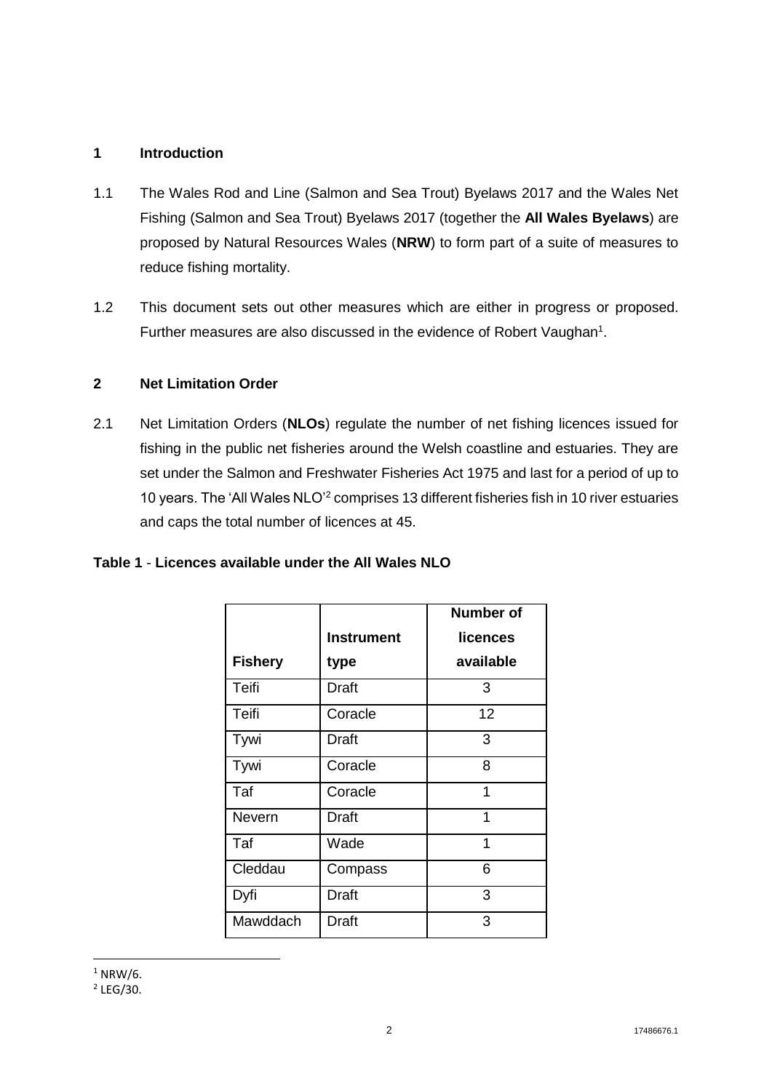## **1 Introduction**

- 1.1 The Wales Rod and Line (Salmon and Sea Trout) Byelaws 2017 and the Wales Net Fishing (Salmon and Sea Trout) Byelaws 2017 (together the **All Wales Byelaws**) are proposed by Natural Resources Wales (**NRW**) to form part of a suite of measures to reduce fishing mortality.
- 1.2 This document sets out other measures which are either in progress or proposed. Further measures are also discussed in the evidence of Robert Vaughan<sup>1</sup>.

# **2 Net Limitation Order**

2.1 Net Limitation Orders (**NLOs**) regulate the number of net fishing licences issued for fishing in the public net fisheries around the Welsh coastline and estuaries. They are set under the Salmon and Freshwater Fisheries Act 1975 and last for a period of up to 10 years. The 'All Wales NLO'<sup>2</sup> comprises 13 different fisheries fish in 10 river estuaries and caps the total number of licences at 45.

## **Table 1** - **Licences available under the All Wales NLO**

|                |                   | <b>Number of</b> |
|----------------|-------------------|------------------|
|                | <b>Instrument</b> | licences         |
| <b>Fishery</b> | type              | available        |
| <b>Teifi</b>   | Draft             | 3                |
| Teifi          | Coracle           | 12               |
| Tywi           | Draft             | 3                |
| Tywi           | Coracle           | 8                |
| Taf            | Coracle           | 1                |
| Nevern         | Draft             | 1                |
| Taf            | Wade              | 1                |
| Cleddau        | Compass           | 6                |
| Dyfi           | Draft             | 3                |
| Mawddach       | Draft             | 3                |

 $2$  LEG/30.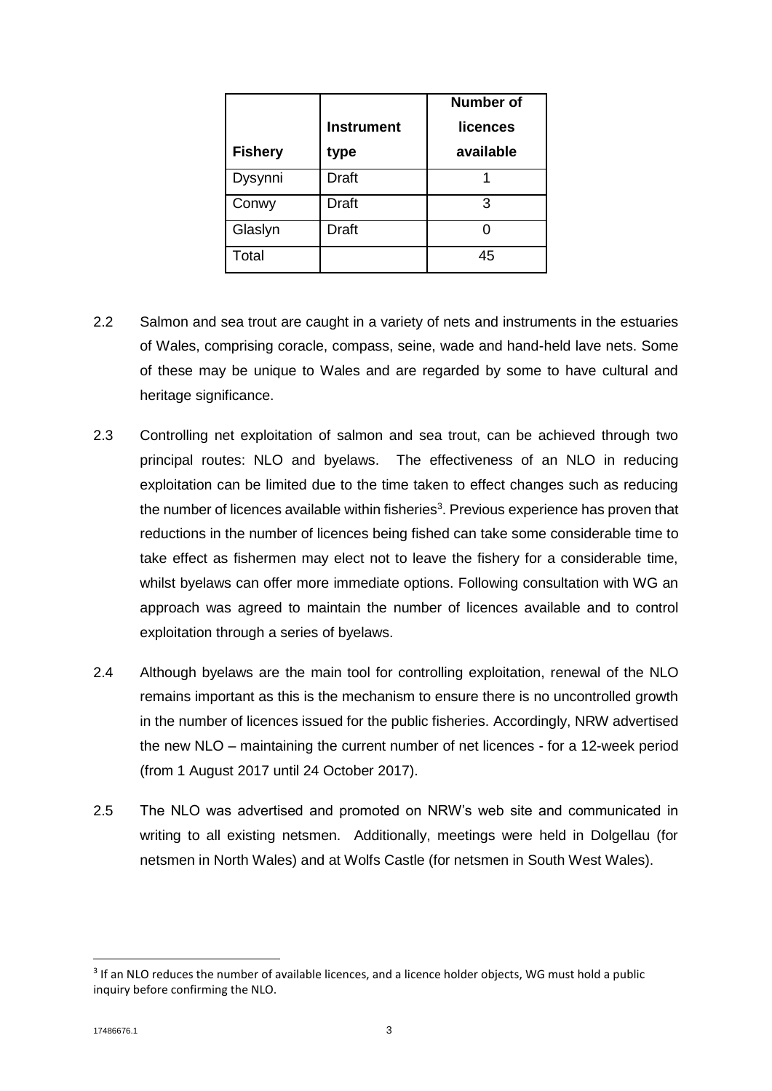|                |                   | <b>Number of</b> |
|----------------|-------------------|------------------|
|                | <b>Instrument</b> | licences         |
| <b>Fishery</b> | type              | available        |
| Dysynni        | <b>Draft</b>      |                  |
| Conwy          | Draft             | 3                |
| Glaslyn        | Draft             |                  |
| Total          |                   | 45               |

- 2.2 Salmon and sea trout are caught in a variety of nets and instruments in the estuaries of Wales, comprising coracle, compass, seine, wade and hand-held lave nets. Some of these may be unique to Wales and are regarded by some to have cultural and heritage significance.
- 2.3 Controlling net exploitation of salmon and sea trout, can be achieved through two principal routes: NLO and byelaws. The effectiveness of an NLO in reducing exploitation can be limited due to the time taken to effect changes such as reducing the number of licences available within fisheries<sup>3</sup>. Previous experience has proven that reductions in the number of licences being fished can take some considerable time to take effect as fishermen may elect not to leave the fishery for a considerable time, whilst byelaws can offer more immediate options. Following consultation with WG an approach was agreed to maintain the number of licences available and to control exploitation through a series of byelaws.
- 2.4 Although byelaws are the main tool for controlling exploitation, renewal of the NLO remains important as this is the mechanism to ensure there is no uncontrolled growth in the number of licences issued for the public fisheries. Accordingly, NRW advertised the new NLO – maintaining the current number of net licences - for a 12-week period (from 1 August 2017 until 24 October 2017).
- 2.5 The NLO was advertised and promoted on NRW's web site and communicated in writing to all existing netsmen. Additionally, meetings were held in Dolgellau (for netsmen in North Wales) and at Wolfs Castle (for netsmen in South West Wales).

**.** 

<sup>&</sup>lt;sup>3</sup> If an NLO reduces the number of available licences, and a licence holder objects, WG must hold a public inquiry before confirming the NLO.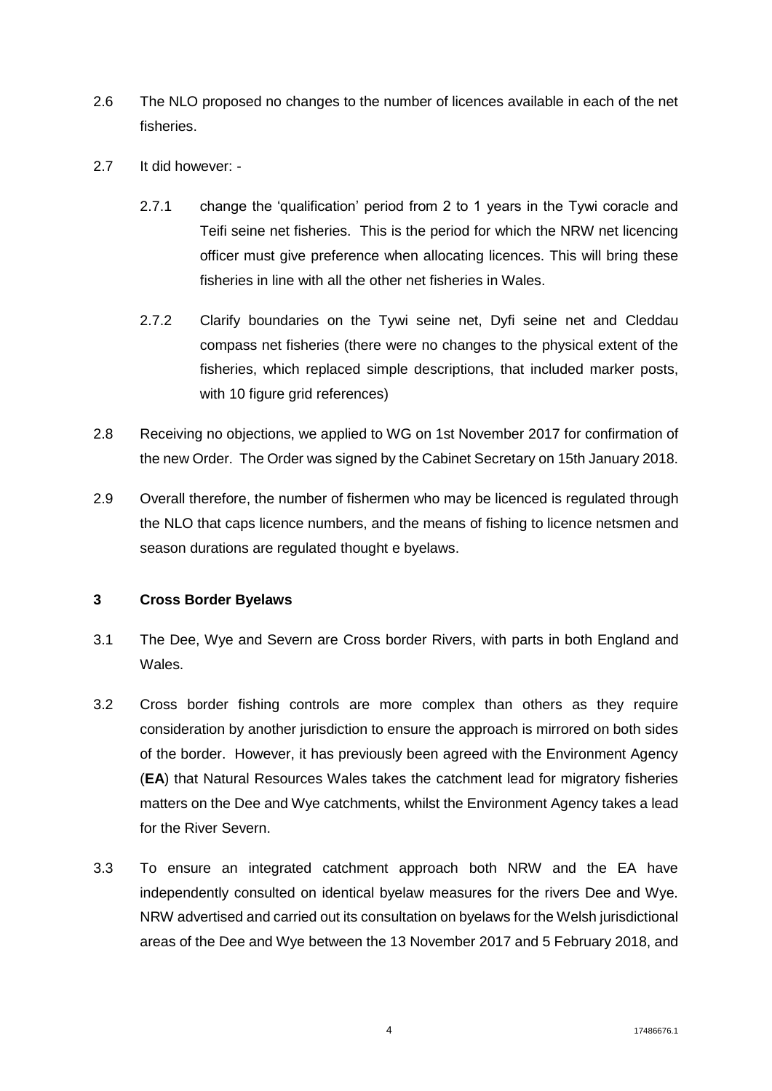- 2.6 The NLO proposed no changes to the number of licences available in each of the net fisheries.
- 2.7 It did however:
	- 2.7.1 change the 'qualification' period from 2 to 1 years in the Tywi coracle and Teifi seine net fisheries. This is the period for which the NRW net licencing officer must give preference when allocating licences. This will bring these fisheries in line with all the other net fisheries in Wales.
	- 2.7.2 Clarify boundaries on the Tywi seine net, Dyfi seine net and Cleddau compass net fisheries (there were no changes to the physical extent of the fisheries, which replaced simple descriptions, that included marker posts, with 10 figure grid references)
- 2.8 Receiving no objections, we applied to WG on 1st November 2017 for confirmation of the new Order. The Order was signed by the Cabinet Secretary on 15th January 2018.
- 2.9 Overall therefore, the number of fishermen who may be licenced is regulated through the NLO that caps licence numbers, and the means of fishing to licence netsmen and season durations are regulated thought e byelaws.

#### **3 Cross Border Byelaws**

- 3.1 The Dee, Wye and Severn are Cross border Rivers, with parts in both England and Wales.
- 3.2 Cross border fishing controls are more complex than others as they require consideration by another jurisdiction to ensure the approach is mirrored on both sides of the border. However, it has previously been agreed with the Environment Agency (**EA**) that Natural Resources Wales takes the catchment lead for migratory fisheries matters on the Dee and Wye catchments, whilst the Environment Agency takes a lead for the River Severn.
- 3.3 To ensure an integrated catchment approach both NRW and the EA have independently consulted on identical byelaw measures for the rivers Dee and Wye. NRW advertised and carried out its consultation on byelaws for the Welsh jurisdictional areas of the Dee and Wye between the 13 November 2017 and 5 February 2018, and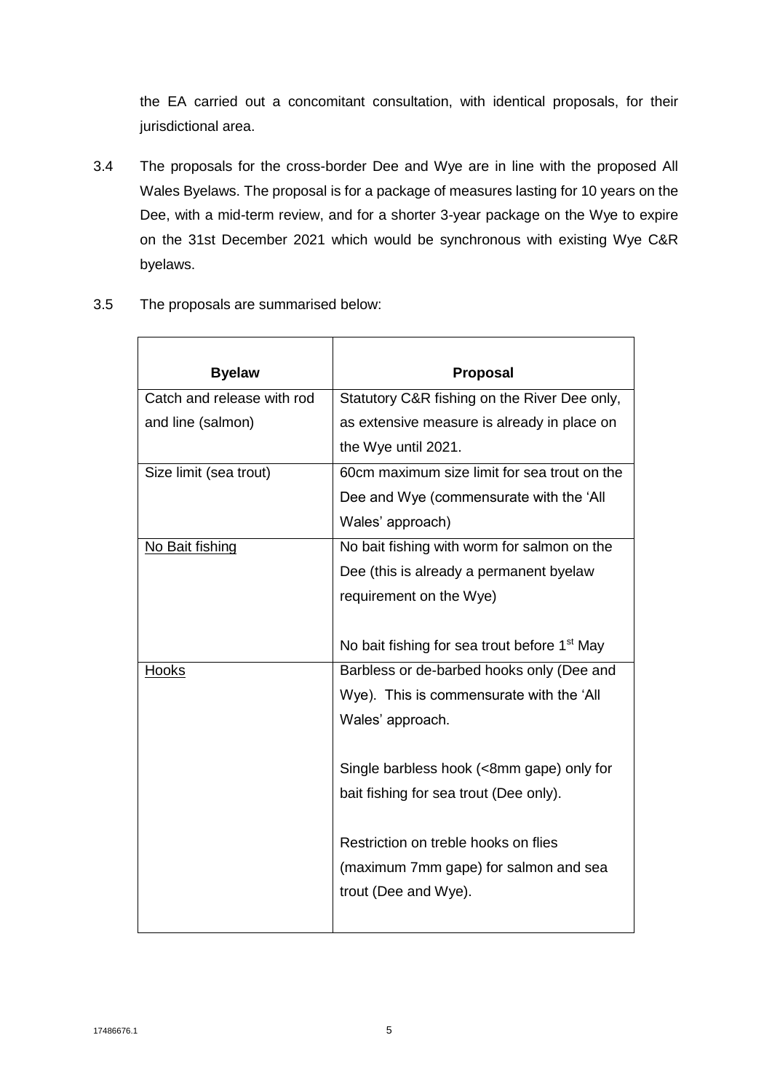the EA carried out a concomitant consultation, with identical proposals, for their jurisdictional area.

- 3.4 The proposals for the cross-border Dee and Wye are in line with the proposed All Wales Byelaws. The proposal is for a package of measures lasting for 10 years on the Dee, with a mid-term review, and for a shorter 3-year package on the Wye to expire on the 31st December 2021 which would be synchronous with existing Wye C&R byelaws.
- 3.5 The proposals are summarised below:

| <b>Byelaw</b>              | Proposal                                                 |
|----------------------------|----------------------------------------------------------|
| Catch and release with rod | Statutory C&R fishing on the River Dee only,             |
| and line (salmon)          | as extensive measure is already in place on              |
|                            | the Wye until 2021.                                      |
| Size limit (sea trout)     | 60cm maximum size limit for sea trout on the             |
|                            | Dee and Wye (commensurate with the 'All                  |
|                            | Wales' approach)                                         |
| No Bait fishing            | No bait fishing with worm for salmon on the              |
|                            | Dee (this is already a permanent byelaw                  |
|                            | requirement on the Wye)                                  |
|                            |                                                          |
|                            | No bait fishing for sea trout before 1 <sup>st</sup> May |
| <u>Hooks</u>               | Barbless or de-barbed hooks only (Dee and                |
|                            | Wye). This is commensurate with the 'All                 |
|                            | Wales' approach.                                         |
|                            |                                                          |
|                            | Single barbless hook (<8mm gape) only for                |
|                            | bait fishing for sea trout (Dee only).                   |
|                            | Restriction on treble hooks on flies                     |
|                            | (maximum 7mm gape) for salmon and sea                    |
|                            | trout (Dee and Wye).                                     |
|                            |                                                          |
|                            |                                                          |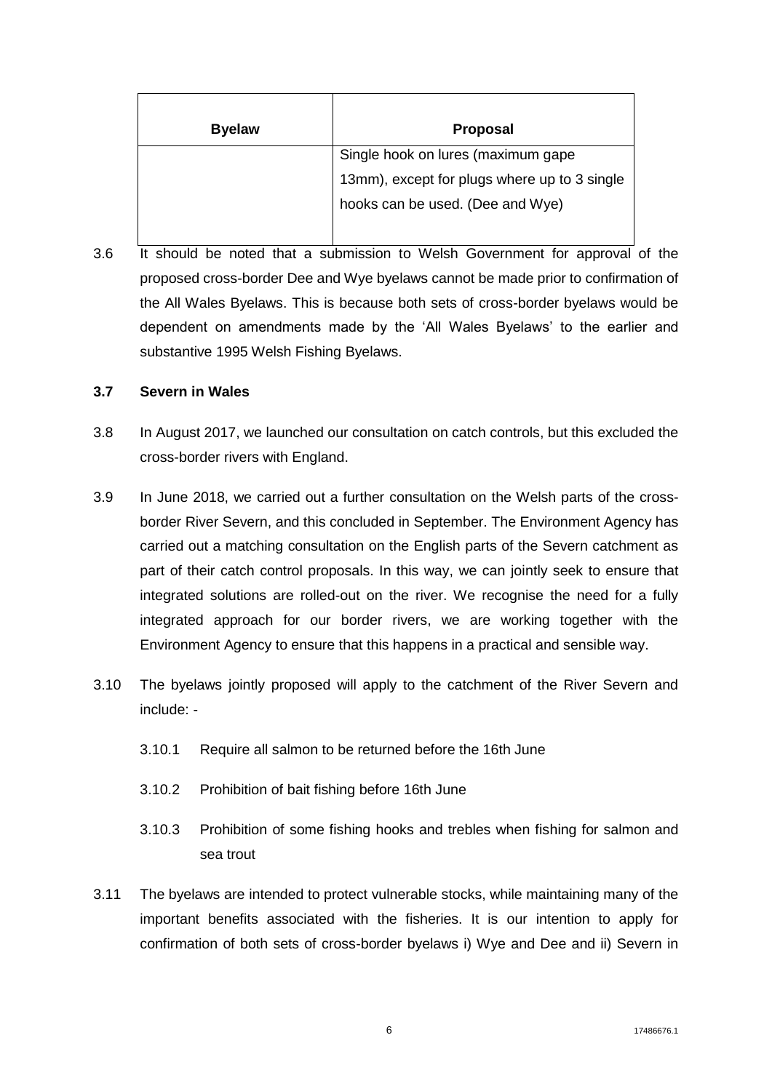| <b>Byelaw</b> | <b>Proposal</b>                              |
|---------------|----------------------------------------------|
|               | Single hook on lures (maximum gape           |
|               | 13mm), except for plugs where up to 3 single |
|               | hooks can be used. (Dee and Wye)             |
|               |                                              |

3.6 It should be noted that a submission to Welsh Government for approval of the proposed cross-border Dee and Wye byelaws cannot be made prior to confirmation of the All Wales Byelaws. This is because both sets of cross-border byelaws would be dependent on amendments made by the 'All Wales Byelaws' to the earlier and substantive 1995 Welsh Fishing Byelaws.

#### **3.7 Severn in Wales**

- 3.8 In August 2017, we launched our consultation on catch controls, but this excluded the cross-border rivers with England.
- 3.9 In June 2018, we carried out a further consultation on the Welsh parts of the crossborder River Severn, and this concluded in September. The Environment Agency has carried out a matching consultation on the English parts of the Severn catchment as part of their catch control proposals. In this way, we can jointly seek to ensure that integrated solutions are rolled-out on the river. We recognise the need for a fully integrated approach for our border rivers, we are working together with the Environment Agency to ensure that this happens in a practical and sensible way.
- 3.10 The byelaws jointly proposed will apply to the catchment of the River Severn and include: -
	- 3.10.1 Require all salmon to be returned before the 16th June
	- 3.10.2 Prohibition of bait fishing before 16th June
	- 3.10.3 Prohibition of some fishing hooks and trebles when fishing for salmon and sea trout
- 3.11 The byelaws are intended to protect vulnerable stocks, while maintaining many of the important benefits associated with the fisheries. It is our intention to apply for confirmation of both sets of cross-border byelaws i) Wye and Dee and ii) Severn in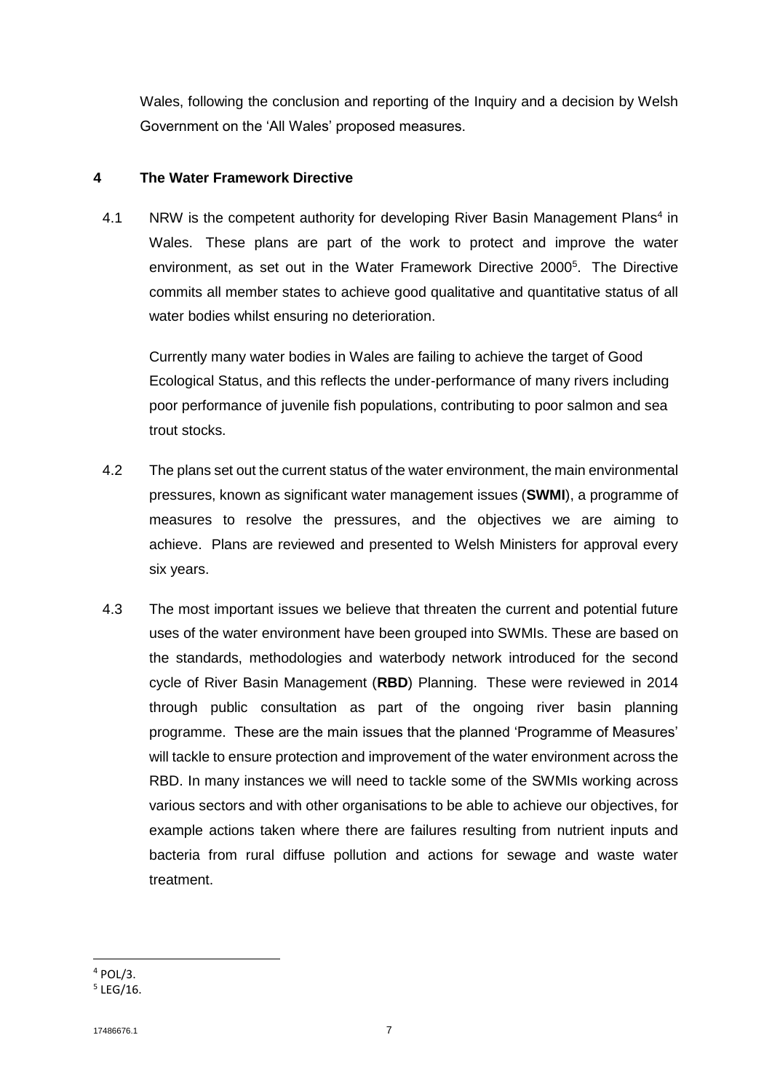Wales, following the conclusion and reporting of the Inquiry and a decision by Welsh Government on the 'All Wales' proposed measures.

#### **4 The Water Framework Directive**

4.1 NRW is the competent authority for developing River Basin Management Plans<sup>4</sup> in Wales. These plans are part of the work to protect and improve the water environment, as set out in the Water Framework Directive 2000<sup>5</sup>. The Directive commits all member states to achieve good qualitative and quantitative status of all water bodies whilst ensuring no deterioration.

Currently many water bodies in Wales are failing to achieve the target of Good Ecological Status, and this reflects the under-performance of many rivers including poor performance of juvenile fish populations, contributing to poor salmon and sea trout stocks.

- 4.2 The plans set out the current status of the water environment, the main environmental pressures, known as significant water management issues (**SWMI**), a programme of measures to resolve the pressures, and the objectives we are aiming to achieve. Plans are reviewed and presented to Welsh Ministers for approval every six years.
- 4.3 The most important issues we believe that threaten the current and potential future uses of the water environment have been grouped into SWMIs. These are based on the standards, methodologies and waterbody network introduced for the second cycle of River Basin Management (**RBD**) Planning. These were reviewed in 2014 through public consultation as part of the ongoing river basin planning programme. These are the main issues that the planned 'Programme of Measures' will tackle to ensure protection and improvement of the water environment across the RBD. In many instances we will need to tackle some of the SWMIs working across various sectors and with other organisations to be able to achieve our objectives, for example actions taken where there are failures resulting from nutrient inputs and bacteria from rural diffuse pollution and actions for sewage and waste water treatment.

**<sup>.</sup>**  $4$  POL/3.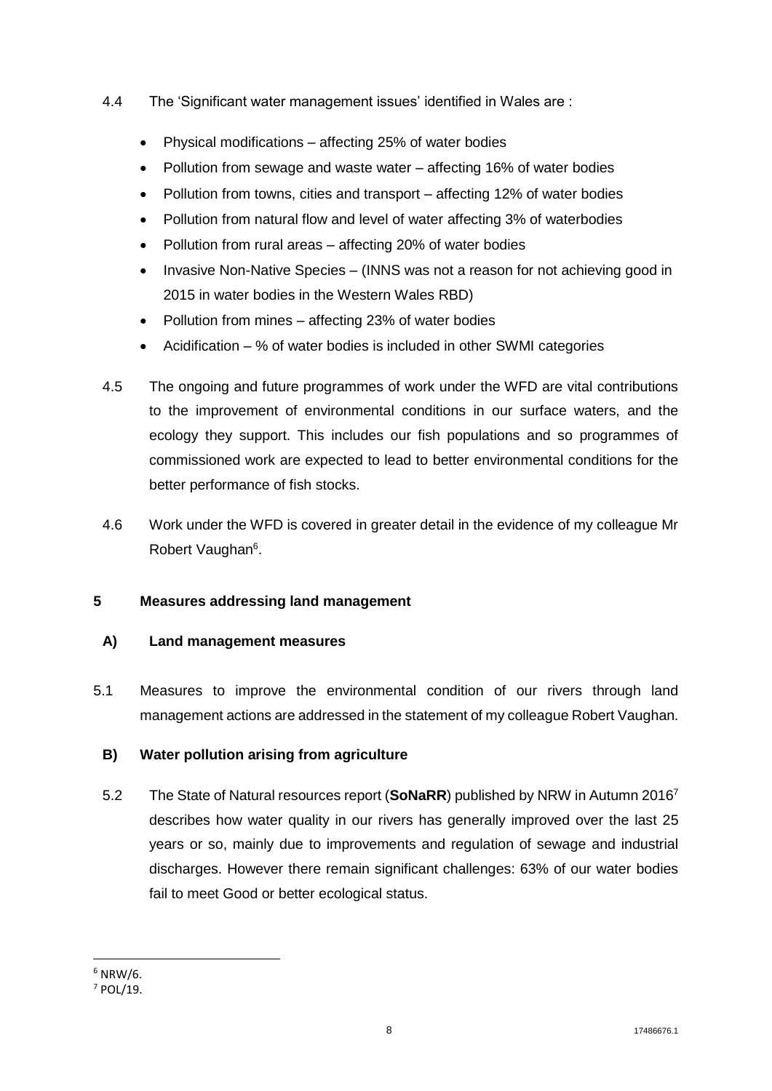- 4.4 The 'Significant water management issues' identified in Wales are :
	- Physical modifications affecting 25% of water bodies
	- Pollution from sewage and waste water affecting 16% of water bodies
	- Pollution from towns, cities and transport affecting 12% of water bodies
	- Pollution from natural flow and level of water affecting 3% of waterbodies
	- Pollution from rural areas affecting 20% of water bodies
	- Invasive Non-Native Species (INNS was not a reason for not achieving good in 2015 in water bodies in the Western Wales RBD)
	- Pollution from mines affecting 23% of water bodies
	- Acidification % of water bodies is included in other SWMI categories
- 4.5 The ongoing and future programmes of work under the WFD are vital contributions to the improvement of environmental conditions in our surface waters, and the ecology they support. This includes our fish populations and so programmes of commissioned work are expected to lead to better environmental conditions for the better performance of fish stocks.
- 4.6 Work under the WFD is covered in greater detail in the evidence of my colleague Mr Robert Vaughan<sup>6</sup>.

# **5 Measures addressing land management**

# **A) Land management measures**

5.1 Measures to improve the environmental condition of our rivers through land management actions are addressed in the statement of my colleague Robert Vaughan.

# **B) Water pollution arising from agriculture**

5.2 The State of Natural resources report (**SoNaRR**) published by NRW in Autumn 2016<sup>7</sup> describes how water quality in our rivers has generally improved over the last 25 years or so, mainly due to improvements and regulation of sewage and industrial discharges. However there remain significant challenges: 63% of our water bodies fail to meet Good or better ecological status.

**<sup>.</sup>**  $6$  NRW/6.

<sup>7</sup> POL/19.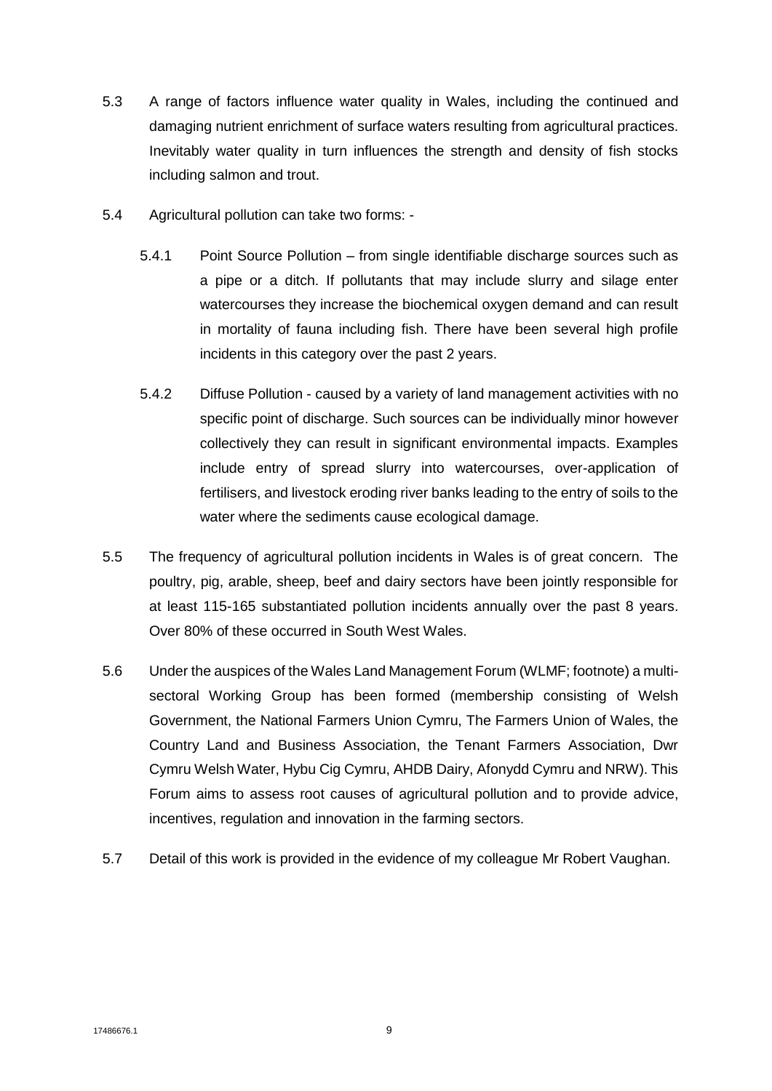- 5.3 A range of factors influence water quality in Wales, including the continued and damaging nutrient enrichment of surface waters resulting from agricultural practices. Inevitably water quality in turn influences the strength and density of fish stocks including salmon and trout.
- 5.4 Agricultural pollution can take two forms:
	- 5.4.1 Point Source Pollution from single identifiable discharge sources such as a pipe or a ditch. If pollutants that may include slurry and silage enter watercourses they increase the biochemical oxygen demand and can result in mortality of fauna including fish. There have been several high profile incidents in this category over the past 2 years.
	- 5.4.2 Diffuse Pollution caused by a variety of land management activities with no specific point of discharge. Such sources can be individually minor however collectively they can result in significant environmental impacts. Examples include entry of spread slurry into watercourses, over-application of fertilisers, and livestock eroding river banks leading to the entry of soils to the water where the sediments cause ecological damage.
- 5.5 The frequency of agricultural pollution incidents in Wales is of great concern. The poultry, pig, arable, sheep, beef and dairy sectors have been jointly responsible for at least 115-165 substantiated pollution incidents annually over the past 8 years. Over 80% of these occurred in South West Wales.
- 5.6 Under the auspices of the Wales Land Management Forum (WLMF; footnote) a multisectoral Working Group has been formed (membership consisting of Welsh Government, the National Farmers Union Cymru, The Farmers Union of Wales, the Country Land and Business Association, the Tenant Farmers Association, Dwr Cymru Welsh Water, Hybu Cig Cymru, AHDB Dairy, Afonydd Cymru and NRW). This Forum aims to assess root causes of agricultural pollution and to provide advice, incentives, regulation and innovation in the farming sectors.
- 5.7 Detail of this work is provided in the evidence of my colleague Mr Robert Vaughan.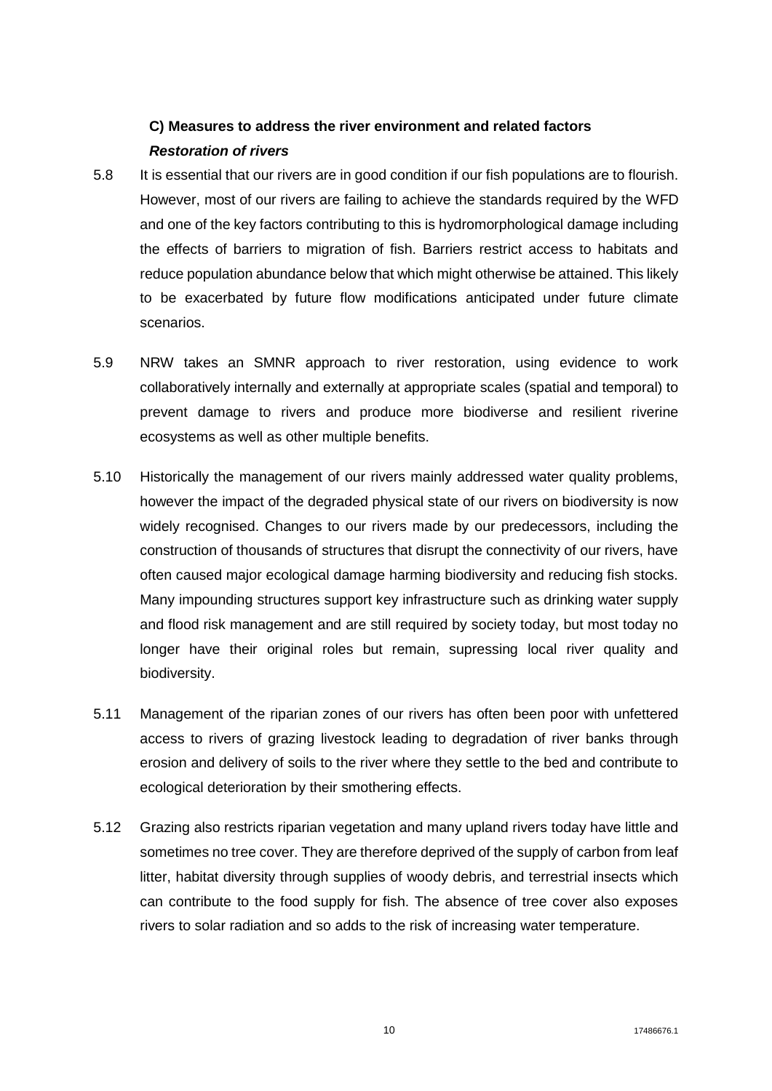# **C) Measures to address the river environment and related factors** *Restoration of rivers*

- 5.8 It is essential that our rivers are in good condition if our fish populations are to flourish. However, most of our rivers are failing to achieve the standards required by the WFD and one of the key factors contributing to this is hydromorphological damage including the effects of barriers to migration of fish. Barriers restrict access to habitats and reduce population abundance below that which might otherwise be attained. This likely to be exacerbated by future flow modifications anticipated under future climate scenarios.
- 5.9 NRW takes an SMNR approach to river restoration, using evidence to work collaboratively internally and externally at appropriate scales (spatial and temporal) to prevent damage to rivers and produce more biodiverse and resilient riverine ecosystems as well as other multiple benefits.
- 5.10 Historically the management of our rivers mainly addressed water quality problems, however the impact of the degraded physical state of our rivers on biodiversity is now widely recognised. Changes to our rivers made by our predecessors, including the construction of thousands of structures that disrupt the connectivity of our rivers, have often caused major ecological damage harming biodiversity and reducing fish stocks. Many impounding structures support key infrastructure such as drinking water supply and flood risk management and are still required by society today, but most today no longer have their original roles but remain, supressing local river quality and biodiversity.
- 5.11 Management of the riparian zones of our rivers has often been poor with unfettered access to rivers of grazing livestock leading to degradation of river banks through erosion and delivery of soils to the river where they settle to the bed and contribute to ecological deterioration by their smothering effects.
- 5.12 Grazing also restricts riparian vegetation and many upland rivers today have little and sometimes no tree cover. They are therefore deprived of the supply of carbon from leaf litter, habitat diversity through supplies of woody debris, and terrestrial insects which can contribute to the food supply for fish. The absence of tree cover also exposes rivers to solar radiation and so adds to the risk of increasing water temperature.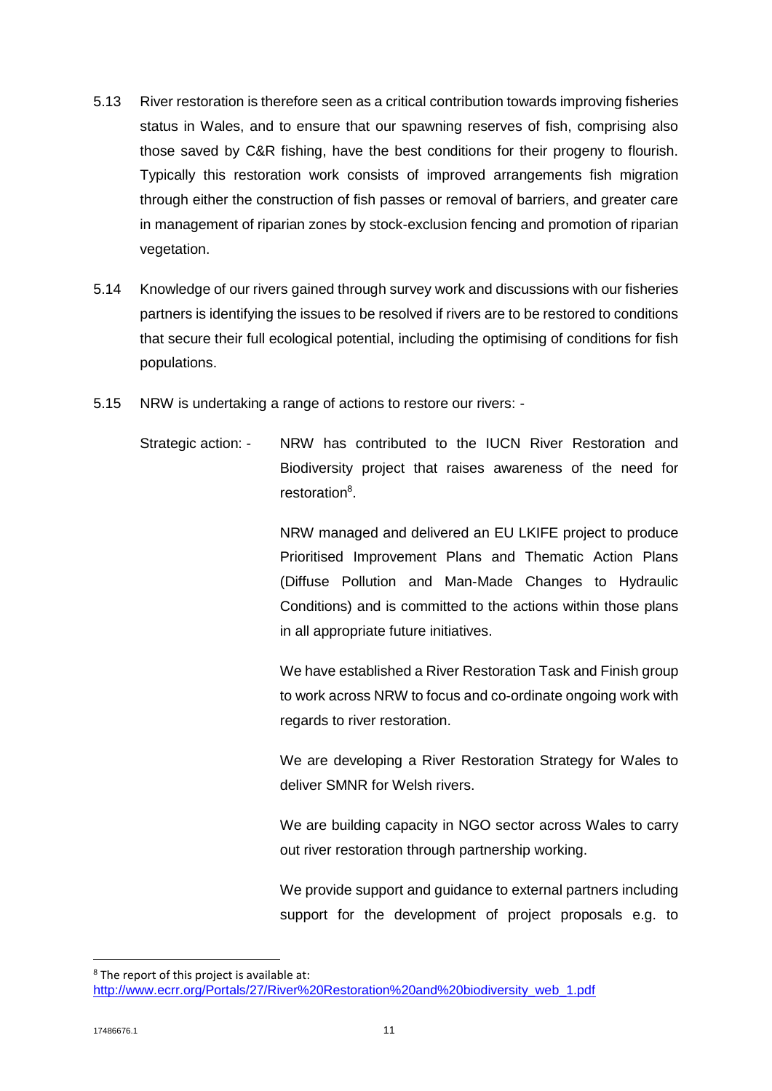- 5.13 River restoration is therefore seen as a critical contribution towards improving fisheries status in Wales, and to ensure that our spawning reserves of fish, comprising also those saved by C&R fishing, have the best conditions for their progeny to flourish. Typically this restoration work consists of improved arrangements fish migration through either the construction of fish passes or removal of barriers, and greater care in management of riparian zones by stock-exclusion fencing and promotion of riparian vegetation.
- 5.14 Knowledge of our rivers gained through survey work and discussions with our fisheries partners is identifying the issues to be resolved if rivers are to be restored to conditions that secure their full ecological potential, including the optimising of conditions for fish populations.
- 5.15 NRW is undertaking a range of actions to restore our rivers:
	- Strategic action: NRW has contributed to the IUCN River Restoration and Biodiversity project that raises awareness of the need for restoration<sup>8</sup>.

NRW managed and delivered an EU LKIFE project to produce Prioritised Improvement Plans and Thematic Action Plans (Diffuse Pollution and Man-Made Changes to Hydraulic Conditions) and is committed to the actions within those plans in all appropriate future initiatives.

We have established a River Restoration Task and Finish group to work across NRW to focus and co-ordinate ongoing work with regards to river restoration.

We are developing a River Restoration Strategy for Wales to deliver SMNR for Welsh rivers.

We are building capacity in NGO sector across Wales to carry out river restoration through partnership working.

We provide support and guidance to external partners including support for the development of project proposals e.g. to

**.** 

<sup>8</sup> The report of this project is available at: [http://www.ecrr.org/Portals/27/River%20Restoration%20and%20biodiversity\\_web\\_1.pdf](http://www.ecrr.org/Portals/27/River%20Restoration%20and%20biodiversity_web_1.pdf)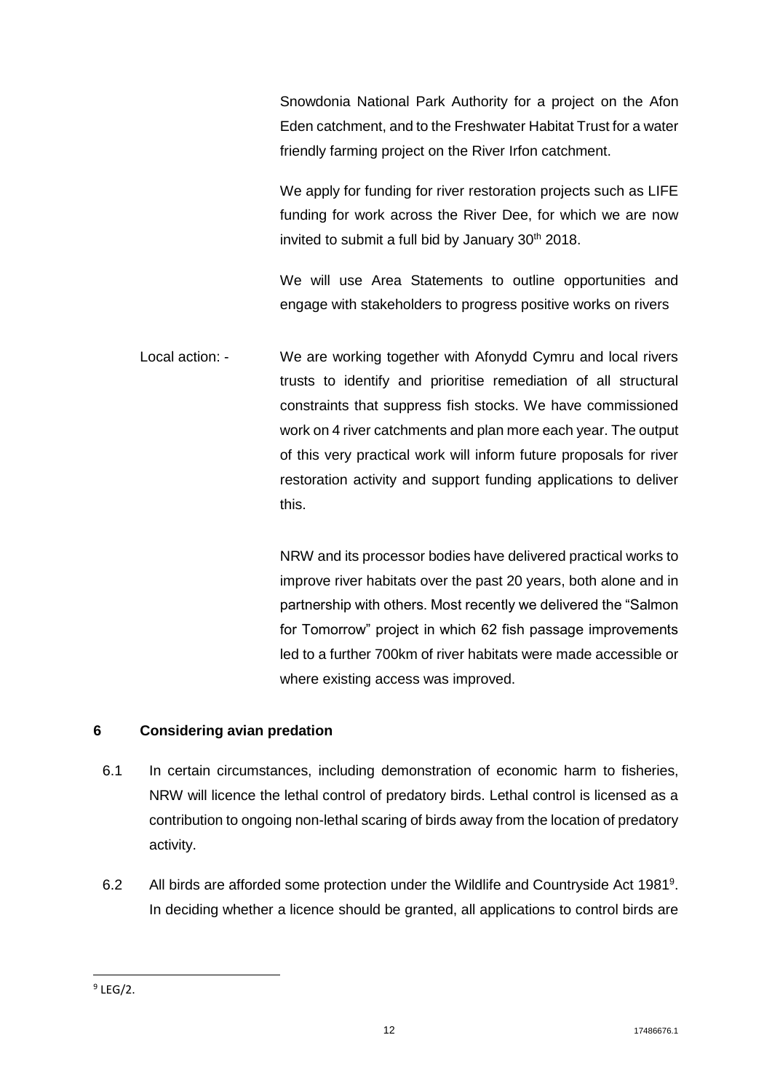Snowdonia National Park Authority for a project on the Afon Eden catchment, and to the Freshwater Habitat Trust for a water friendly farming project on the River Irfon catchment.

We apply for funding for river restoration projects such as LIFE funding for work across the River Dee, for which we are now invited to submit a full bid by January  $30<sup>th</sup>$  2018.

We will use Area Statements to outline opportunities and engage with stakeholders to progress positive works on rivers

Local action: - We are working together with Afonydd Cymru and local rivers trusts to identify and prioritise remediation of all structural constraints that suppress fish stocks. We have commissioned work on 4 river catchments and plan more each year. The output of this very practical work will inform future proposals for river restoration activity and support funding applications to deliver this.

> NRW and its processor bodies have delivered practical works to improve river habitats over the past 20 years, both alone and in partnership with others. Most recently we delivered the "Salmon for Tomorrow" project in which 62 fish passage improvements led to a further 700km of river habitats were made accessible or where existing access was improved.

# **6 Considering avian predation**

- 6.1 In certain circumstances, including demonstration of economic harm to fisheries, NRW will licence the lethal control of predatory birds. Lethal control is licensed as a contribution to ongoing non-lethal scaring of birds away from the location of predatory activity.
- 6.2 All birds are afforded some protection under the Wildlife and Countryside Act 1981<sup>9</sup>. In deciding whether a licence should be granted, all applications to control birds are

**<sup>.</sup>**  $9$  LEG/2.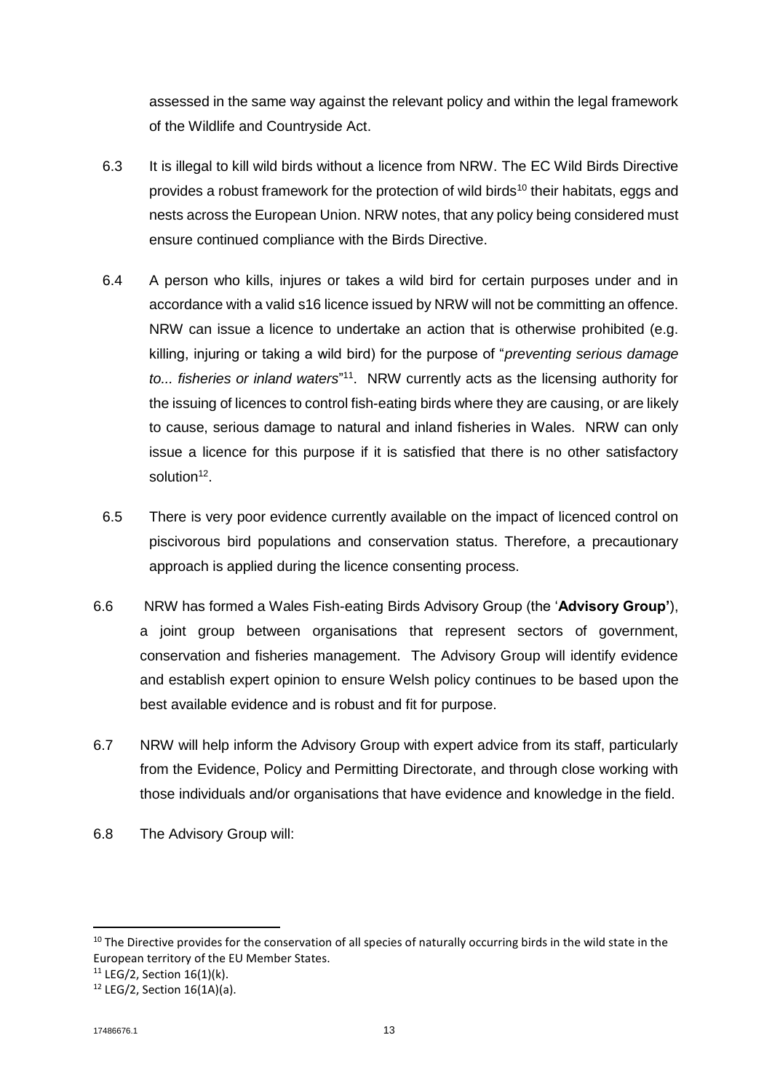assessed in the same way against the relevant policy and within the legal framework of the Wildlife and Countryside Act.

- 6.3 It is illegal to kill wild birds without a licence from NRW. The EC Wild Birds Directive provides a robust framework for the protection of wild birds<sup>10</sup> their habitats, eggs and nests across the European Union. NRW notes, that any policy being considered must ensure continued compliance with the Birds Directive.
- 6.4 A person who kills, injures or takes a wild bird for certain purposes under and in accordance with a valid s16 licence issued by NRW will not be committing an offence. NRW can issue a licence to undertake an action that is otherwise prohibited (e.g. killing, injuring or taking a wild bird) for the purpose of "*preventing serious damage*  to... fisheries or inland waters<sup>"11</sup>. NRW currently acts as the licensing authority for the issuing of licences to control fish-eating birds where they are causing, or are likely to cause, serious damage to natural and inland fisheries in Wales. NRW can only issue a licence for this purpose if it is satisfied that there is no other satisfactory solution<sup>12</sup>.
- 6.5 There is very poor evidence currently available on the impact of licenced control on piscivorous bird populations and conservation status. Therefore, a precautionary approach is applied during the licence consenting process.
- 6.6 NRW has formed a Wales Fish-eating Birds Advisory Group (the '**Advisory Group'**), a joint group between organisations that represent sectors of government, conservation and fisheries management. The Advisory Group will identify evidence and establish expert opinion to ensure Welsh policy continues to be based upon the best available evidence and is robust and fit for purpose.
- 6.7 NRW will help inform the Advisory Group with expert advice from its staff, particularly from the Evidence, Policy and Permitting Directorate, and through close working with those individuals and/or organisations that have evidence and knowledge in the field.
- 6.8 The Advisory Group will:

**.** 

<sup>&</sup>lt;sup>10</sup> The Directive provides for the conservation of all species of naturally occurring birds in the wild state in the European territory of the EU Member States.

 $11$  LEG/2, Section 16(1)(k).

<sup>12</sup> LEG/2, Section 16(1A)(a).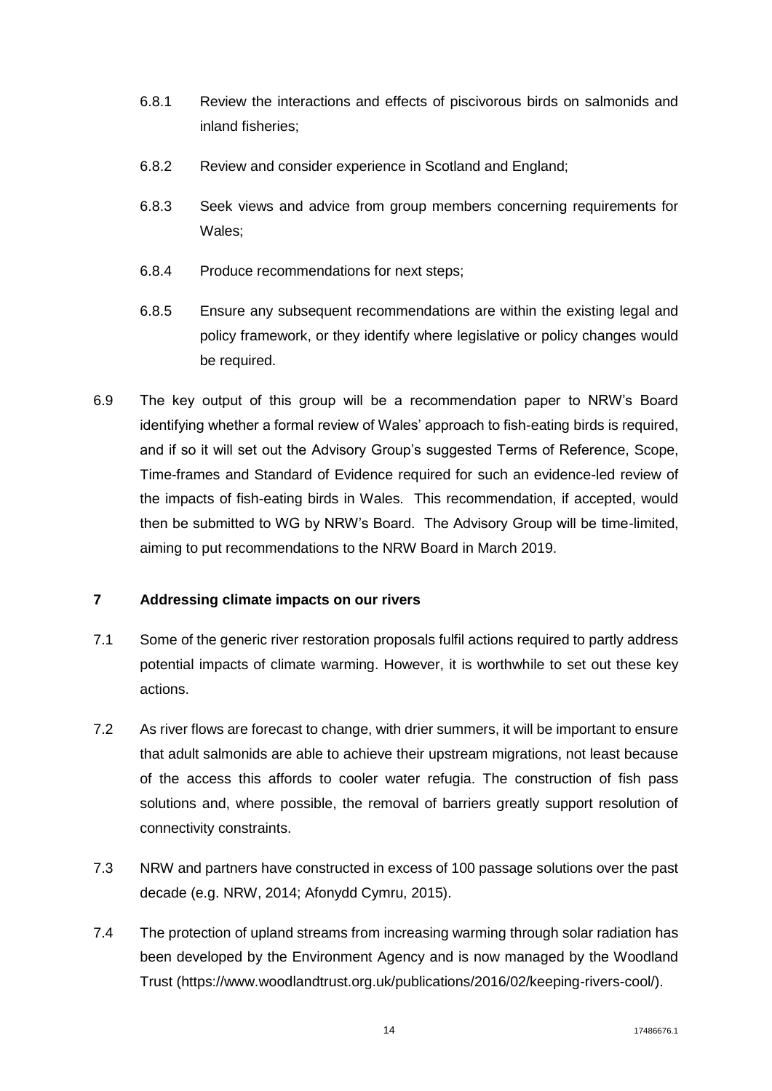- 6.8.1 Review the interactions and effects of piscivorous birds on salmonids and inland fisheries;
- 6.8.2 Review and consider experience in Scotland and England;
- 6.8.3 Seek views and advice from group members concerning requirements for Wales;
- 6.8.4 Produce recommendations for next steps;
- 6.8.5 Ensure any subsequent recommendations are within the existing legal and policy framework, or they identify where legislative or policy changes would be required.
- 6.9 The key output of this group will be a recommendation paper to NRW's Board identifying whether a formal review of Wales' approach to fish-eating birds is required, and if so it will set out the Advisory Group's suggested Terms of Reference, Scope, Time-frames and Standard of Evidence required for such an evidence-led review of the impacts of fish-eating birds in Wales. This recommendation, if accepted, would then be submitted to WG by NRW's Board. The Advisory Group will be time-limited, aiming to put recommendations to the NRW Board in March 2019.

# **7 Addressing climate impacts on our rivers**

- 7.1 Some of the generic river restoration proposals fulfil actions required to partly address potential impacts of climate warming. However, it is worthwhile to set out these key actions.
- 7.2 As river flows are forecast to change, with drier summers, it will be important to ensure that adult salmonids are able to achieve their upstream migrations, not least because of the access this affords to cooler water refugia. The construction of fish pass solutions and, where possible, the removal of barriers greatly support resolution of connectivity constraints.
- 7.3 NRW and partners have constructed in excess of 100 passage solutions over the past decade (e.g. NRW, 2014; Afonydd Cymru, 2015).
- 7.4 The protection of upland streams from increasing warming through solar radiation has been developed by the Environment Agency and is now managed by the Woodland Trust [\(https://www.woodlandtrust.org.uk/publications/2016/02/keeping-rivers-cool/\)](https://www.woodlandtrust.org.uk/publications/2016/02/keeping-rivers-cool/).